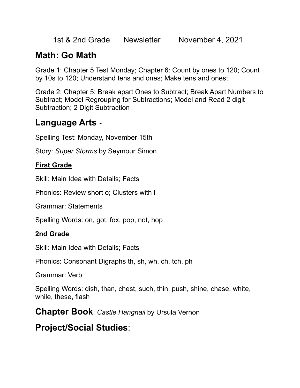1st & 2nd Grade Newsletter November 4, 2021

# **Math: Go Math**

Grade 1: Chapter 5 Test Monday; Chapter 6: Count by ones to 120; Count by 10s to 120; Understand tens and ones; Make tens and ones;

Grade 2: Chapter 5: Break apart Ones to Subtract; Break Apart Numbers to Subtract; Model Regrouping for Subtractions; Model and Read 2 digit Subtraction; 2 Digit Subtraction

### **Language Arts** -

Spelling Test: Monday, November 15th

Story: *Super Storms* by Seymour Simon

#### **First Grade**

Skill: Main Idea with Details; Facts

Phonics: Review short o; Clusters with l

Grammar: Statements

Spelling Words: on, got, fox, pop, not, hop

#### **2nd Grade**

Skill: Main Idea with Details; Facts

Phonics: Consonant Digraphs th, sh, wh, ch, tch, ph

Grammar: Verb

Spelling Words: dish, than, chest, such, thin, push, shine, chase, white, while, these, flash

**Chapter Book**: *Castle Hangnail* by Ursula Vernon

### **Project/Social Studies**: